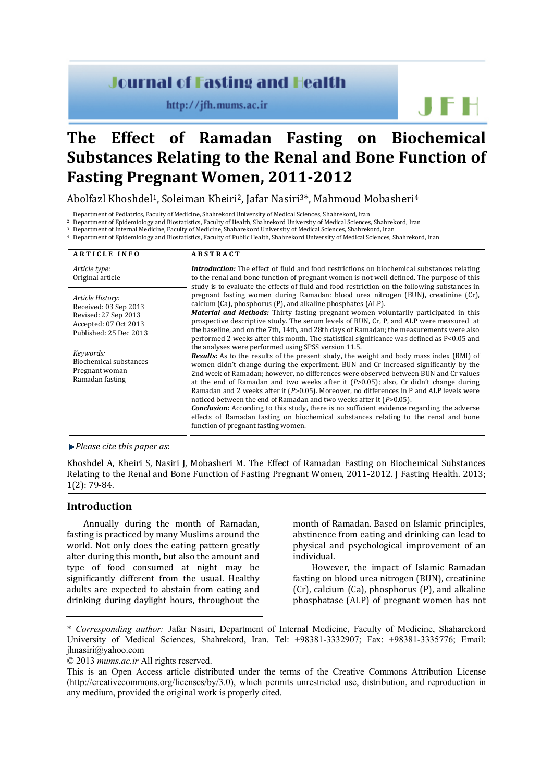# **Journal of Fasting and Health**

http://jfh.mums.ac.ir

# **The Effect of Ramadan Fasting on Biochemical Substances Relating to the Renal and Bone Function of Fasting Pregnant Women, 2011-2012**

Abolfazl Khoshdel1, Soleiman Kheiri2, Jafar Nasiri3\*, Mahmoud Mobasheri4

Department of Pediatrics, Faculty of Medicine, Shahrekord University of Medical Sciences, Shahrekord, Iran<br>Department of Epidemiology and Biostatistics, Faculty of Health, Shahrekord University of Medical Sciences, Shahrek

Department of Internal Medicine, Faculty of Medicine, Shaharekord University of Medical Sciences, Shahrekord, Iran<br>Department of Epidemiology and Biostatistics, Faculty of Public Health, Shahrekord University of Medical Sc

| <b>ARTICLE INFO</b>                                                                                                  | <b>ABSTRACT</b>                                                                                                                                                                                                                                                                                                                                                                                                                                                                                                                                                                                                                                                                                                                                                                                                                                |
|----------------------------------------------------------------------------------------------------------------------|------------------------------------------------------------------------------------------------------------------------------------------------------------------------------------------------------------------------------------------------------------------------------------------------------------------------------------------------------------------------------------------------------------------------------------------------------------------------------------------------------------------------------------------------------------------------------------------------------------------------------------------------------------------------------------------------------------------------------------------------------------------------------------------------------------------------------------------------|
| Article type:<br>Original article                                                                                    | <b>Introduction:</b> The effect of fluid and food restrictions on biochemical substances relating<br>to the renal and bone function of pregnant women is not well defined. The purpose of this<br>study is to evaluate the effects of fluid and food restriction on the following substances in                                                                                                                                                                                                                                                                                                                                                                                                                                                                                                                                                |
| Article History:<br>Received: 03 Sep 2013<br>Revised: 27 Sep 2013<br>Accepted: 07 Oct 2013<br>Published: 25 Dec 2013 | pregnant fasting women during Ramadan: blood urea nitrogen (BUN), creatinine (Cr),<br>calcium (Ca), phosphorus (P), and alkaline phosphates (ALP).<br><b>Material and Methods:</b> Thirty fasting pregnant women voluntarily participated in this<br>prospective descriptive study. The serum levels of BUN, Cr, P, and ALP were measured at<br>the baseline, and on the 7th, 14th, and 28th days of Ramadan; the measurements were also<br>performed 2 weeks after this month. The statistical significance was defined as P<0.05 and                                                                                                                                                                                                                                                                                                         |
| Keywords:<br>Biochemical substances<br>Pregnant woman<br>Ramadan fasting                                             | the analyses were performed using SPSS version 11.5.<br><b>Results:</b> As to the results of the present study, the weight and body mass index (BMI) of<br>women didn't change during the experiment. BUN and Cr increased significantly by the<br>2nd week of Ramadan; however, no differences were observed between BUN and Cr values<br>at the end of Ramadan and two weeks after it $(P>0.05)$ ; also, Cr didn't change during<br>Ramadan and 2 weeks after it $(P>0.05)$ . Moreover, no differences in P and ALP levels were<br>noticed between the end of Ramadan and two weeks after it $(P>0.05)$ .<br><b>Conclusion:</b> According to this study, there is no sufficient evidence regarding the adverse<br>effects of Ramadan fasting on biochemical substances relating to the renal and bone<br>function of pregnant fasting women. |

#### *Please cite this paper as*:

Khoshdel A, Kheiri S, Nasiri J, Mobasheri M. The Effect of Ramadan Fasting on Biochemical Substances Relating to the Renal and Bone Function of Fasting Pregnant Women, 2011-2012. I Fasting Health. 2013: 1(2): 79-84.

# **Introduction**

Annually during the month of Ramadan, fasting is practiced by many Muslims around the world. Not only does the eating pattern greatly alter during this month, but also the amount and type of food consumed at night may be significantly different from the usual. Healthy adults are expected to abstain from eating and drinking during daylight hours, throughout the month of Ramadan. Based on Islamic principles, abstinence from eating and drinking can lead to physical and psychological improvement of an individual.

JFH

However, the impact of Islamic Ramadan fasting on blood urea nitrogen (BUN), creatinine (Cr), calcium (Ca), phosphorus (P), and alkaline phosphatase (ALP) of pregnant women has not

<sup>\*</sup> *Corresponding author:* Jafar Nasiri, Department of Internal Medicine, Faculty of Medicine, Shaharekord University of Medical Sciences, Shahrekord, Iran. Tel: +98381-3332907; Fax: +98381-3335776; Email: [jhnasiri@yahoo.com](mailto:jhnasiri@yahoo.com)

<sup>© 2013</sup> *mums.ac.ir* All rights reserved.

This is an Open Access article distributed under the terms of the Creative Commons Attribution License (http://creativecommons.org/licenses/by/3.0), which permits unrestricted use, distribution, and reproduction in any medium, provided the original work is properly cited.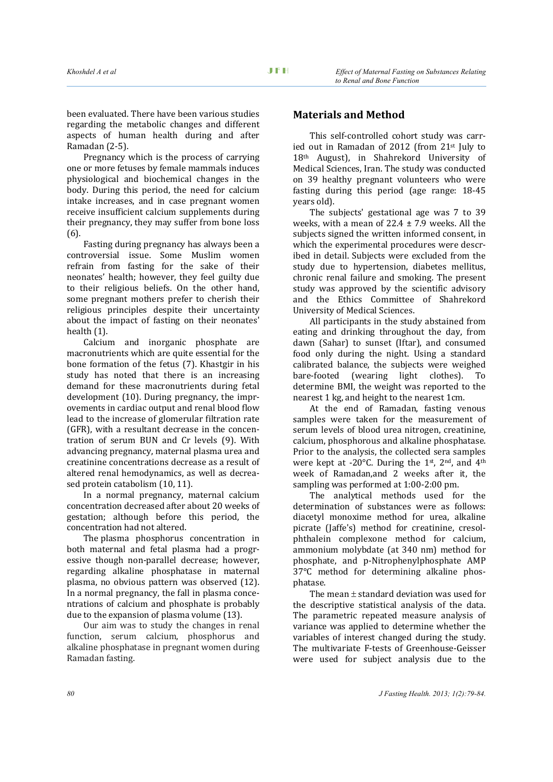been evaluated. There have been various studies regarding the metabolic changes and different aspects of human health during and after Ramadan (2-5).

Pregnancy which is the process of carrying one or more fetuses by female mammals induces physiological and biochemical changes in the body. During this period, the need for calcium intake increases, and in case pregnant women receive insufficient calcium supplements during their pregnancy, they may suffer from bone loss (6).

Fasting during pregnancy has always been a controversial issue. Some Muslim women refrain from fasting for the sake of their neonates' health; however, they feel guilty due to their religious beliefs. On the other hand, some pregnant mothers prefer to cherish their religious principles despite their uncertainty about the impact of fasting on their neonates' health (1).

Calcium and inorganic phosphate are macronutrients which are quite essential for the bone formation of the fetus (7). Khastgir in his study has noted that there is an increasing demand for these macronutrients during fetal development (10). During pregnancy, the improvements in cardiac output and renal blood flow lead to the increase of glomerular filtration rate (GFR), with a resultant decrease in the concentration of serum BUN and Cr levels (9). With advancing pregnancy, maternal plasma urea and creatinine concentrations decrease as a result of altered renal hemodynamics, as well as decreased protein catabolism (10, 11).

In a normal pregnancy, maternal calcium concentration decreased after about 20 weeks of gestation; although before this period, the concentration had not altered.

The plasma phosphorus concentration in both maternal and fetal plasma had a progressive though non-parallel decrease; however, regarding alkaline phosphatase in maternal plasma, no obvious pattern was observed (12). In a normal pregnancy, the fall in plasma concentrations of calcium and phosphate is probably due to the expansion of plasma volume (13).

Our aim was to study the changes in renal function, serum calcium, phosphorus and alkaline phosphatase in pregnant women during Ramadan fasting.

# **Materials and Method**

This self-controlled cohort study was carried out in Ramadan of 2012 (from 21st July to 18th August), in Shahrekord University of Medical Sciences, Iran. The study was conducted on 39 healthy pregnant volunteers who were fasting during this period (age range: 18-45 years old).

The subjects' gestational age was 7 to 39 weeks, with a mean of  $22.4 \pm 7.9$  weeks. All the subjects signed the written informed consent, in which the experimental procedures were described in detail. Subjects were excluded from the study due to hypertension, diabetes mellitus, chronic renal failure and smoking. The present study was approved by the scientific advisory and the Ethics Committee of Shahrekord University of Medical Sciences.

All participants in the study abstained from eating and drinking throughout the day, from dawn (Sahar) to sunset (Iftar), and consumed food only during the night. Using a standard calibrated balance, the subjects were weighed<br>bare-footed (wearing light clothes). To  $(wearing$  light clothes). determine BMI, the weight was reported to the nearest 1 kg, and height to the nearest 1cm.

At the end of Ramadan, fasting venous samples were taken for the measurement of serum levels of blood urea nitrogen, creatinine, calcium, phosphorous and alkaline phosphatase. Prior to the analysis, the collected sera samples were kept at -20°C. During the 1st, 2nd, and 4th week of Ramadan,and 2 weeks after it, the sampling was performed at 1:00-2:00 pm.

The analytical methods used for the determination of substances were as follows: diacetyl monoxime method for urea, alkaline picrate (Jaffe's) method for creatinine, cresolphthalein complexone method for calcium, ammonium molybdate (at 340 nm) method for phosphate, and p-Nitrophenylphosphate AMP 37°C method for determining alkaline phosphatase.

The mean  $\pm$  standard deviation was used for the descriptive statistical analysis of the data. The parametric repeated measure analysis of variance was applied to determine whether the variables of interest changed during the study. The multivariate F-tests of Greenhouse-Geisser were used for subject analysis due to the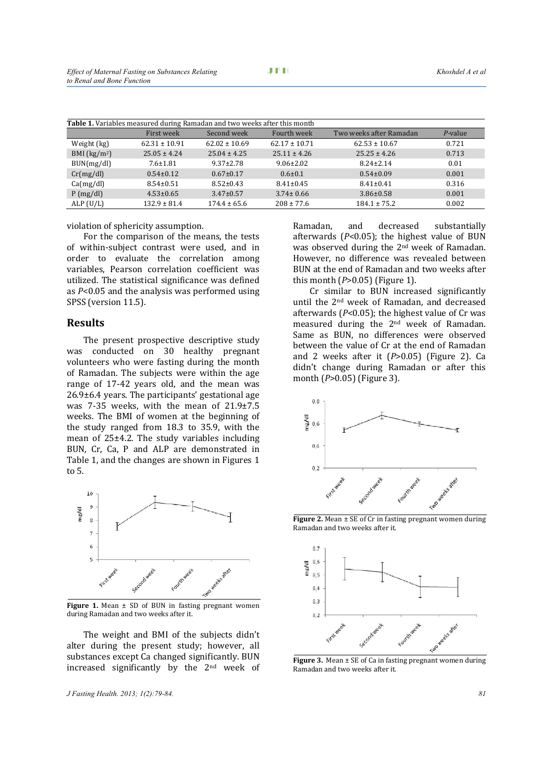| <b>Table 1.</b> Variables measured during Ramadan and two weeks after this month |                   |                   |                   |                         |            |  |
|----------------------------------------------------------------------------------|-------------------|-------------------|-------------------|-------------------------|------------|--|
|                                                                                  | First week        | Second week       | Fourth week       | Two weeks after Ramadan | $P$ -value |  |
| Weight (kg)                                                                      | $62.31 \pm 10.91$ | $62.02 \pm 10.69$ | $62.17 \pm 10.71$ | $62.53 \pm 10.67$       | 0.721      |  |
| BMI $(kg/m2)$                                                                    | $25.05 \pm 4.24$  | $25.04 \pm 4.25$  | $25.11 \pm 4.26$  | $25.25 \pm 4.26$        | 0.713      |  |
| BUN(mg/dl)                                                                       | $7.6 \pm 1.81$    | $9.37 \pm 2.78$   | $9.06 \pm 2.02$   | $8.24 \pm 2.14$         | 0.01       |  |
| Cr(mg/dl)                                                                        | $0.54 \pm 0.12$   | $0.67 \pm 0.17$   | $0.6 \pm 0.1$     | $0.54 \pm 0.09$         | 0.001      |  |
| Ca(mg/dl)                                                                        | $8.54 \pm 0.51$   | $8.52 \pm 0.43$   | $8.41 \pm 0.45$   | $8.41 \pm 0.41$         | 0.316      |  |
| P(mg/dl)                                                                         | $4.53 \pm 0.65$   | $3.47 \pm 0.57$   | $3.74 \pm 0.66$   | $3.86 \pm 0.58$         | 0.001      |  |
| ALP(U/L)                                                                         | $132.9 \pm 81.4$  | $174.4 \pm 65.6$  | $208 \pm 77.6$    | $184.1 \pm 75.2$        | 0.002      |  |

violation of sphericity assumption.

For the comparison of the means, the tests of within-subject contrast were used, and in order to evaluate the correlation among variables, Pearson correlation coefficient was utilized. The statistical significance was defined as *P*<0.05 and the analysis was performed using SPSS (version 11.5).

### **Results**

The present prospective descriptive study was conducted on 30 healthy pregnant volunteers who were fasting during the month of Ramadan. The subjects were within the age range of 17-42 years old, and the mean was 26.9±6.4 years. The participants' gestational age was 7-35 weeks, with the mean of 21.9±7.5 weeks. The BMI of women at the beginning of the study ranged from 18.3 to 35.9, with the mean of 25±4.2. The study variables including BUN, Cr, Ca, P and ALP are demonstrated in Table 1, and the changes are shown in Figures 1 to 5.



**Figure 1.** Mean  $\pm$  SD of BUN in fasting pregnant women during Ramadan and two weeks after it.

The weight and BMI of the subjects didn't alter during the present study; however, all substances except Ca changed significantly. BUN increased significantly by the 2nd week of

*J Fasting Health. 2013; 1(2):79-84. 81*

Ramadan, and decreased substantially afterwards (*P*<0.05); the highest value of BUN was observed during the 2nd week of Ramadan. However, no difference was revealed between BUN at the end of Ramadan and two weeks after this month (*P*>0.05) (Figure 1).

Cr similar to BUN increased significantly until the 2nd week of Ramadan, and decreased afterwards (*P*<0.05); the highest value of Cr was measured during the 2nd week of Ramadan. Same as BUN, no differences were observed between the value of Cr at the end of Ramadan and 2 weeks after it (*P*>0.05) (Figure 2). Ca didn't change during Ramadan or after this month (*P*>0.05) (Figure 3).



**Figure 2.** Mean  $\pm$  SE of Cr in fasting pregnant women during Ramadan and two weeks after it.



**Figure 3.** Mean ± SE of Ca in fasting pregnant women during Ramadan and two weeks after it.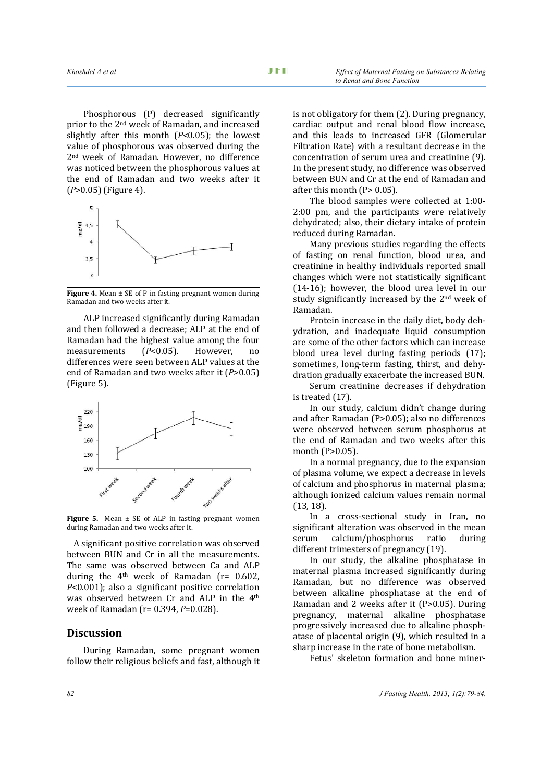Phosphorous (P) decreased significantly prior to the 2nd week of Ramadan, and increased slightly after this month (*P*<0.05); the lowest value of phosphorous was observed during the 2nd week of Ramadan. However, no difference was noticed between the phosphorous values at the end of Ramadan and two weeks after it (*<sup>P</sup>*>0.05) (Figure 4).



**Figure 4.** Mean ± SE of P in fasting pregnant women during Ramadan and two weeks after it.

ALP increased significantly during Ramadan and then followed a decrease; ALP at the end of Ramadan had the highest value among the four<br>measurements  $(P<0.05)$ . However, no measurements (*P*<0.05). However, no differences were seen between ALP values at the end of Ramadan and two weeks after it (*P*>0.05) (Figure 5).



Figure 5. Mean  $\pm$  SE of ALP in fasting pregnant women during Ramadan and two weeks after it.

A significant positive correlation was observed between BUN and Cr in all the measurements. The same was observed between Ca and ALP during the  $4<sup>th</sup>$  week of Ramadan ( $r= 0.602$ ) *P*<0.001); also a significant positive correlation was observed between Cr and ALP in the 4th week of Ramadan (r= 0.394, *P*=0.028).

# **Discussion**

During Ramadan, some pregnant women follow their religious beliefs and fast, although it is not obligatory for them (2). During pregnancy, cardiac output and renal blood flow increase, and this leads to increased GFR (Glomerular Filtration Rate) with a resultant decrease in the concentration of serum urea and creatinine (9). In the present study, no difference was observed between BUN and Cr at the end of Ramadan and after this month (P> 0.05).

The blood samples were collected at 1:00- 2:00 pm, and the participants were relatively dehydrated; also, their dietary intake of protein reduced during Ramadan.

Many previous studies regarding the effects of fasting on renal function, blood urea, and creatinine in healthy individuals reported small changes which were not statistically significant (14-16); however, the blood urea level in our study significantly increased by the 2nd week of Ramadan.

Protein increase in the daily diet, body dehydration, and inadequate liquid consumption are some of the other factors which can increase blood urea level during fasting periods (17); sometimes, long-term fasting, thirst, and dehydration gradually exacerbate the increased BUN.

Serum creatinine decreases if dehydration is treated (17).

In our study, calcium didn't change during and after Ramadan (P>0.05); also no differences were observed between serum phosphorus at the end of Ramadan and two weeks after this month (P>0.05).

In a normal pregnancy, due to the expansion of plasma volume, we expect a decrease in levels of calcium and phosphorus in maternal plasma; although ionized calcium values remain normal (13, 18).

In a cross-sectional study in Iran, no significant alteration was observed in the mean<br>serum calcium/phosphorus ratio during calcium/phosphorus different trimesters of pregnancy (19).

In our study, the alkaline phosphatase in maternal plasma increased significantly during Ramadan, but no difference was observed between alkaline phosphatase at the end of Ramadan and 2 weeks after it (P>0.05). During pregnancy, maternal alkaline phosphatase progressively increased due to alkaline phosphatase of placental origin (9), which resulted in a sharp increase in the rate of bone metabolism.

Fetus' skeleton formation and bone miner-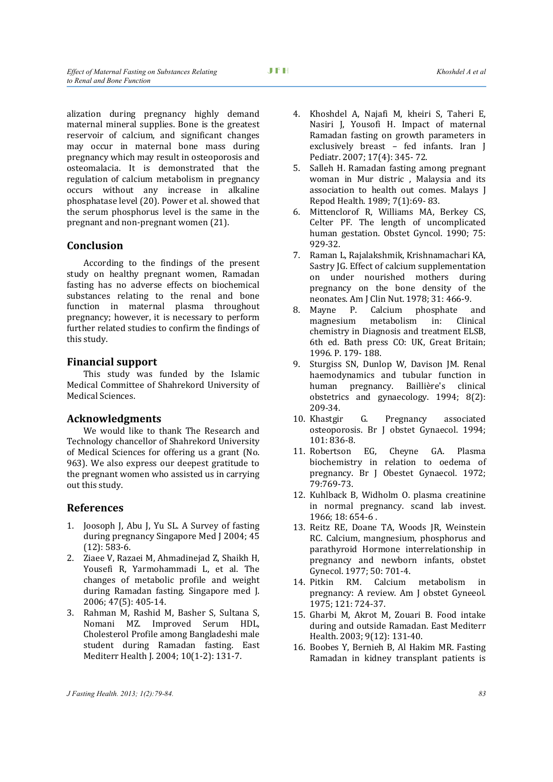alization during pregnancy highly demand maternal mineral supplies. Bone is the greatest reservoir of calcium, and significant changes may occur in maternal bone mass during pregnancy which may result in osteoporosis and osteomalacia. It is demonstrated that the regulation of calcium metabolism in pregnancy occurs without any increase in alkaline phosphatase level (20). Power et al. showed that the serum phosphorus level is the same in the pregnant and non-pregnant women (21).

# **Conclusion**

According to the findings of the present study on healthy pregnant women, Ramadan fasting has no adverse effects on biochemical substances relating to the renal and bone function in maternal plasma throughout pregnancy; however, it is necessary to perform further related studies to confirm the findings of this study.

# **Financial support**

This study was funded by the Islamic Medical Committee of Shahrekord University of Medical Sciences.

# **Acknowledgments**

We would like to thank The Research and Technology chancellor of Shahrekord University of Medical Sciences for offering us a grant (No. 963). We also express our deepest gratitude to the pregnant women who assisted us in carrying out this study.

# **References**

- 1. Joosoph J, Abu J, Yu SL. A Survey of fasting during pregnancy Singapore Med J 2004; 45 (12): 583-6.
- 2. Ziaee V, Razaei M, Ahmadinejad Z, Shaikh H, Yousefi R, Yarmohammadi L, et al. The changes of metabolic profile and weight during Ramadan fasting. Singapore med J. 2006; 47(5): 405-14.
- 3. Rahman M, Rashid M, Basher S, Sultana S, Nomani MZ. Improved Serum HDL, Cholesterol Profile among Bangladeshi male student during Ramadan fasting. East Mediterr Health J. 2004; 10(1-2): 131-7.
- 4. Khoshdel A, Najafi M, kheiri S, Taheri E, Nasiri J, Yousofi H. Impact of maternal Ramadan fasting on growth parameters in exclusively breast – fed infants. Iran J Pediatr. 2007; 17(4): 345- 72.
- 5. Salleh H. Ramadan fasting among pregnant woman in Mur distric , Malaysia and its association to health out comes. Malays J Repod Health. 1989; 7(1):69- 83.
- 6. Mittenclorof R, Williams MA, Berkey CS, Celter PF. The length of uncomplicated human gestation. Obstet Gyncol. 1990; 75: 929-32.
- 7. Raman L, Rajalakshmik, Krishnamachari KA, Sastry JG. Effect of calcium supplementation on under nourished mothers during pregnancy on the bone density of the neonates. Am J Clin Nut. 1978; 31: 466-9.<br>8. Mavne P. Calcium phosphate and
- Mayne P. Calcium phosphate and<br>magnesium metabolism in: Clinical metabolism chemistry in Diagnosis and treatment ELSB, 6th ed. Bath press CO: UK, Great Britain; 1996. P. 179- 188.
- 9. Sturgiss SN, Dunlop W, Davison JM. Renal haemodynamics and tubular function in human pregnancy. Baillière's clinical obstetrics and gynaecology. 1994; 8(2): 209-34.
- 10. Khastgir G. Pregnancy associated osteoporosis. Br J obstet Gynaecol. 1994; 101: 836-8.<br>11. Robertson EG.
- Cheyne GA. Plasma biochemistry in relation to oedema of pregnancy. Br J Obestet Gynaecol. 1972; 79:769-73.
- 12. Kuhlback B, Widholm O. plasma creatinine in normal pregnancy. scand lab invest. 1966; 18: 654-6 .
- 13. Reitz RE, Doane TA, Woods JR, Weinstein RC. Calcium, mangnesium, phosphorus and parathyroid Hormone interrelationship in pregnancy and newborn infants, obstet Gynecol. 1977; 50: 701-4.<br>14. Pitkin RM. Calcium
- RM. Calcium metabolism in pregnancy: A review. Am J obstet Gyneeol. 1975; 121: 724-37.
- 15. Gharbi M, Akrot M, Zouari B. Food intake during and outside Ramadan. East Mediterr Health. 2003; 9(12): 131-40.
- 16. Boobes Y, Bernieh B, Al Hakim MR. Fasting Ramadan in kidney transplant patients is